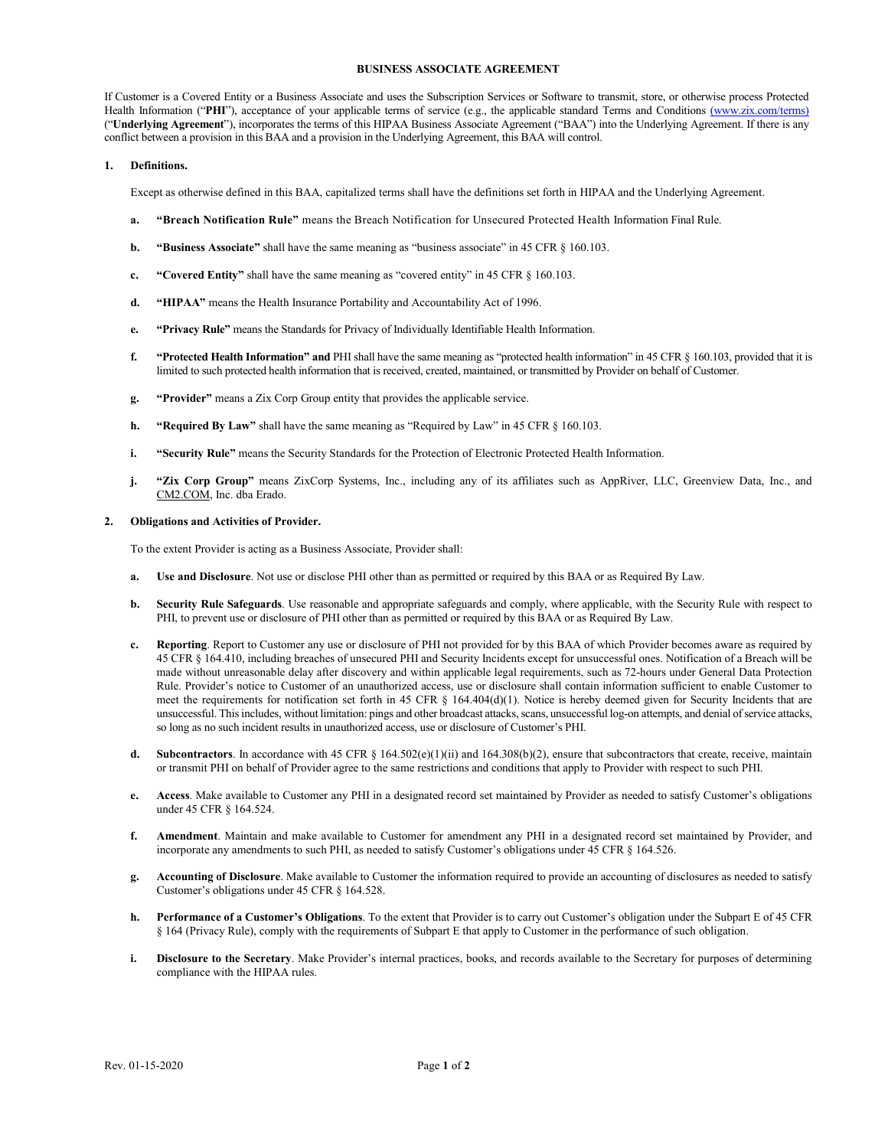### **BUSINESS ASSOCIATE AGREEMENT**

If Customer is a Covered Entity or a Business Associate and uses the Subscription Services or Software to transmit, store, or otherwise process Protected Health Information ("PHI"), acceptance of your applicable terms of service (e.g., the applicable standard Terms and Conditions [\(w](http://www.zixcorp.com/legal)ww.zix.com/terms) ("**Underlying Agreement**"), incorporates the terms of this HIPAA Business Associate Agreement ("BAA") into the Underlying Agreement. If there is any conflict between a provision in this BAA and a provision in the Underlying Agreement, this BAA will control.

### **1. Definitions.**

Except as otherwise defined in this BAA, capitalized terms shall have the definitions set forth in HIPAA and the Underlying Agreement.

- **a. "Breach Notification Rule"** means the Breach Notification for Unsecured Protected Health Information Final Rule.
- **b. "Business Associate"** shall have the same meaning as "business associate" in 45 CFR § 160.103.
- **c. "Covered Entity"** shall have the same meaning as "covered entity" in 45 CFR § 160.103.
- **d. "HIPAA"** means the Health Insurance Portability and Accountability Act of 1996.
- **e. "Privacy Rule"** means the Standards for Privacy of Individually Identifiable Health Information.
- **f. "Protected Health Information" and** PHI shall have the same meaning as "protected health information" in 45 CFR § 160.103, provided that it is limited to such protected health information that is received, created, maintained, or transmitted by Provider on behalf of Customer.
- **g. "Provider"** means a Zix Corp Group entity that provides the applicable service.
- **h. "Required By Law"** shall have the same meaning as "Required by Law" in 45 CFR § 160.103.
- **i. "Security Rule"** means the Security Standards for the Protection of Electronic Protected Health Information.
- **j. "Zix Corp Group"** means ZixCorp Systems, Inc., including any of its affiliates such as AppRiver, LLC, Greenview Data, Inc., and [CM2.COM,](http://cm2.com/) Inc. dba Erado.

### **2. Obligations and Activities of Provider.**

To the extent Provider is acting as a Business Associate, Provider shall:

- **a. Use and Disclosure**. Not use or disclose PHI other than as permitted or required by this BAA or as Required By Law.
- **b. Security Rule Safeguards**. Use reasonable and appropriate safeguards and comply, where applicable, with the Security Rule with respect to PHI, to prevent use or disclosure of PHI other than as permitted or required by this BAA or as Required By Law.
- **c. Reporting**. Report to Customer any use or disclosure of PHI not provided for by this BAA of which Provider becomes aware as required by 45 CFR § 164.410, including breaches of unsecured PHI and Security Incidents except for unsuccessful ones. Notification of a Breach will be made without unreasonable delay after discovery and within applicable legal requirements, such as 72-hours under General Data Protection Rule. Provider's notice to Customer of an unauthorized access, use or disclosure shall contain information sufficient to enable Customer to meet the requirements for notification set forth in 45 CFR § 164.404(d)(1). Notice is hereby deemed given for Security Incidents that are unsuccessful. This includes, without limitation: pings and other broadcast attacks, scans, unsuccessful log-on attempts, and denial of service attacks, so long as no such incident results in unauthorized access, use or disclosure of Customer's PHI.
- **d.** Subcontractors. In accordance with 45 CFR § 164.502(e)(1)(ii) and 164.308(b)(2), ensure that subcontractors that create, receive, maintain or transmit PHI on behalf of Provider agree to the same restrictions and conditions that apply to Provider with respect to such PHI.
- **e. Access**. Make available to Customer any PHI in a designated record set maintained by Provider as needed to satisfy Customer's obligations under 45 CFR § 164.524.
- **f. Amendment**. Maintain and make available to Customer for amendment any PHI in a designated record set maintained by Provider, and incorporate any amendments to such PHI, as needed to satisfy Customer's obligations under 45 CFR § 164.526.
- **g. Accounting of Disclosure**. Make available to Customer the information required to provide an accounting of disclosures as needed to satisfy Customer's obligations under 45 CFR § 164.528.
- **h. Performance of a Customer's Obligations**. To the extent that Provider is to carry out Customer's obligation under the Subpart E of 45 CFR § 164 (Privacy Rule), comply with the requirements of Subpart E that apply to Customer in the performance of such obligation.
- **i. Disclosure to the Secretary**. Make Provider's internal practices, books, and records available to the Secretary for purposes of determining compliance with the HIPAA rules.